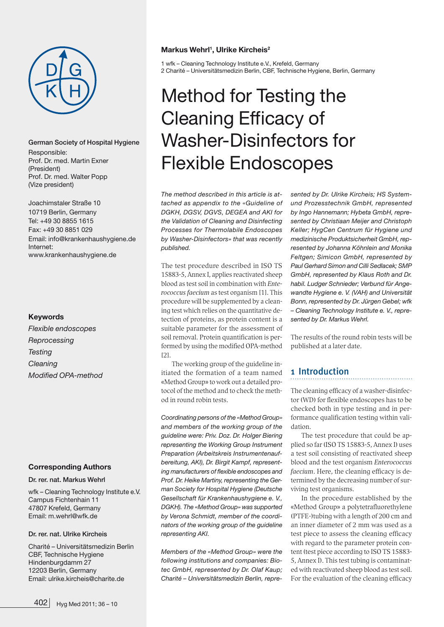

#### German Society of Hospital Hygiene

Responsible: Prof. Dr. med. Martin Exner (President) Prof. Dr. med. Walter Popp (Vize president)

Joachimstaler Straße 10 10719 Berlin, Germany Tel: +49 30 8855 1615 Fax: +49 30 8851 029 Email: info@krankenhaushygiene.de Internet: www.krankenhaushygiene.de

#### **Keywords**

*Flexible endoscopes Reprocessing Testing Cleaning Modified OPA-method*

#### **Corresponding Authors**

Dr. rer. nat. Markus Wehrl

wfk – Cleaning Technology Institute e.V. Campus Fichtenhain 11 47807 Krefeld, Germany Email: m.wehrl@wfk.de

#### Dr. rer. nat. Ulrike Kircheis

Charité – Universitätsmedizin Berlin CBF, Technische Hygiene Hindenburgdamm 27 12203 Berlin, Germany Email: ulrike.kircheis@charite.de

#### **Markus Wehrl1 , Ulrike Kircheis2**

1 wfk – Cleaning Technology Institute e.V., Krefeld, Germany 2 Charité – Universitätsmedizin Berlin, CBF, Technische Hygiene, Berlin, Germany

# Method for Testing the Cleaning Efficacy of Washer-Disinfectors for Flexible Endoscopes

*The method described in this article is attached as appendix to the «Guideline of DGKH, DGSV, DGVS, DEGEA and AKI for the Validation of Cleaning and Disinfecting Processes for Thermolabile Endoscopes by Washer-Disinfectors» that was recently published.*

The test procedure described in ISO TS 15883-5, Annex I, applies reactivated sheep blood as test soil in combination with Enterococcus faecium as test organism [1]. This procedure will be supplemented by a cleaning test which relies on the quantitative detection of proteins, as protein content is a suitable parameter for the assessment of soil removal. Protein quantification is performed by using the modified OPA-method [2].

The working group of the quideline initiated the formation of a team named «Method Group» to work out a detailed protocol of the method and to check the method in round robin tests.

*Coordinating persons of the «Method Group» and members of the working group of the guideline were: Priv. Doz. Dr. Holger Biering representing the Working Group Instrument Preparation (Arbeitskreis Instrumentenaufbereitung, AKI), Dr. Birgit Kampf, representing manufacturers of flexible endoscopes and Prof. Dr. Heike Martiny, representing the German Society for Hospital Hygiene (Deutsche Gesellschaft für Krankenhaushygiene e. V., DGKH). The «Method Group» was supported by Verona Schmidt, member of the coordinators of the working group of the guideline representing AKI.* 

*Members of the «Method Group» were the following institutions and companies: Biotec GmbH, represented by Dr. Olaf Kaup; Charité – Universitätsmedizin Berlin, repre-* *sented by Dr. Ulrike Kircheis; HS Systemund Prozesstechnik GmbH, represented by Ingo Hannemann; Hybeta GmbH, represented by Christiaan Meijer and Christoph Keller; HygCen Centrum für Hygiene und medizinische Produktsicherheit GmbH, represented by Johanna Köhnlein and Monika Feltgen; Simicon GmbH, represented by Paul Gerhard Simon and Cilli Sedlacek; SMP GmbH, represented by Klaus Roth and Dr. habil. Ludger Schnieder; Verbund für Angewandte Hygiene e. V. (VAH) and Universität Bonn, represented by Dr. Jürgen Gebel; wfk – Cleaning Technology Institute e. V., represented by Dr. Markus Wehrl.* 

The results of the round robin tests will be published at a later date.

# 1 Introduction

The cleaning efficacy of a washer-disinfector (WD) for flexible endoscopes has to be checked both in type testing and in performance qualification testing within validation.

The test procedure that could be applied so far (ISO TS 15883-5, Annex I) uses a test soil consisting of reactivated sheep blood and the test organism Enterococcus faecium. Here, the cleaning efficacy is determined by the decreasing number of surviving test organisms.

In the procedure established by the «Method Group» a polytetrafluorethylene (PTFE-)tubing with a length of 200 cm and an inner diameter of 2 mm was used as a test piece to assess the cleaning efficacy with regard to the parameter protein content (test piece according to ISO TS 15883- 5, Annex I). This test tubing is contaminated with reactivated sheep blood as test soil. For the evaluation of the cleaning efficacy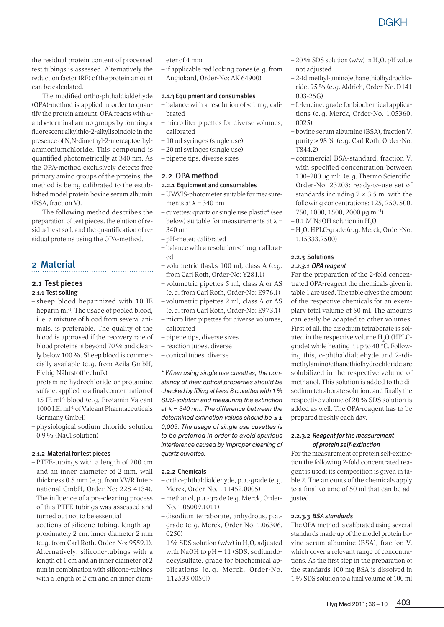the residual protein content of processed test tubings is assessed. Alternatively the reduction factor (RF) of the protein amount can be calculated.

The modified ortho-phthaldialdehyde (OPA)-method is applied in order to quantify the protein amount. OPA reacts with  $\alpha$ and e-terminal amino groups by forming a fluorescent alkylthio-2-alkylisoindole in the presence of N,N-dimethyl-2-mercaptoethylammoniumchloride. This compound is quantified photometrically at 340 nm. As the OPA-method exclusively detects free primary amino groups of the proteins, the method is being calibrated to the established model protein bovine serum albumin (BSA, fraction V).

The following method describes the preparation of test pieces, the elution of residual test soil, and the quantification of residual proteins using the OPA-method.

## 2 Material

#### 2.1 Test pieces

#### 2.1.1 Test soiling

- sheep blood heparinized with 10 IE heparin ml<sup>-1</sup>. The usage of pooled blood, i. e. a mixture of blood from several animals, is preferable. The quality of the blood is approved if the recovery rate of blood proteins is beyond 70% and clearly below 100%. Sheep blood is commercially available (e.g. from Acila GmbH, Fiebig Nährstofftechnik)
- protamine hydrochloride or protamine sulfate, applied to a final concentration of 15 IE ml-1 blood (e.g. Protamin Valeant 1000 I.E. ml-1 of Valeant Pharmaceuticals Germany GmbH)
- physiological sodium chloride solution 0.9% (NaCl solution)

#### 2.1.2 Material for test pieces

- PTFE-tubings with a length of 200 cm and an inner diameter of 2 mm, wall thickness 0.5 mm (e.g. from VWR International GmbH, Order-No: 228-4134). The influence of a pre-cleaning process of this PTFE-tubings was assessed and turned out not to be essential
- sections of silicone-tubing, length approximately 2 cm, inner diameter 2 mm (e.g. from Carl Roth, Order-No: 9559.1). Alternatively: silicone-tubings with a length of 1 cm and an inner diameter of 2 mm in combination with silicone-tubings with a length of 2 cm and an inner diam-

eter of 4 mm

– if applicable red locking cones (e.g. from Angiokard, Order-No: AK 64900)

#### 2.1.3 Equipment and consumables

- $-$  balance with a resolution of  $\leq 1$  mg, calibrated
- micro liter pipettes for diverse volumes, calibrated
- 10 ml syringes (single use)
- 20 ml syringes (single use)
- pipette tips, diverse sizes

#### 2.2 OPA method

#### 2.2.1 Equipment and consumables

- UV/VIS-photometer suitable for measurements at  $\lambda = 340$  nm
- cuvettes: quartz or single use plastic\* (see below) suitable for measurements at  $\lambda =$ 340 nm
- pH-meter, calibrated
- $-$  balance with a resolution  $\leq 1$  mg, calibrated
- volumetric flasks 100 ml, class A (e.g. from Carl Roth, Order-No: Y281.1)
- volumetric pipettes 5 ml, class A or AS (e.g. from Carl Roth, Order-No: E976.1)
- volumetric pipettes 2 ml, class A or AS (e.g. from Carl Roth, Order-No: E973.1)
- micro liter pipettes for diverse volumes, calibrated
- pipette tips, diverse sizes
- reaction tubes, diverse
- conical tubes, diverse

*\* When using single use cuvettes, the constancy of their optical properties should be checked by filling at least 8 cuvettes with 1% SDS-solution and measuring the extinction at* l *= 340 nm. The difference between the determined extinction values should be* ≤ *± 0,005. The usage of single use cuvettes is to be preferred in order to avoid spurious interference caused by improper cleaning of quartz cuvettes.*

#### 2.2.2 Chemicals

- ortho-phthaldialdehyde, p.a.-grade (e.g. Merck, Order-No. 1.11452.0005)
- methanol, p.a.-grade (e.g. Merck, Order-No. 1.06009.1011)
- disodium tetraborate, anhydrous, p.a. grade (e.g. Merck, Order-No. 1.06306. 0250)
- $-1$  % SDS solution (w/w) in H<sub>2</sub>O, adjusted with NaOH to  $pH = 11$  (SDS, sodiumdodecylsulfate, grade for biochemical applications [e. g. Merck, Order-No. 1.12533.0050])
- $-20\%$  SDS solution (w/w) in H<sub>2</sub>O, pH value not adjusted
- 2-(dimethyl-amino)ethanethiolhydrochloride, 95% (e.g. Aldrich, Order-No. D141 003-25G)
- L-leucine, grade for biochemical applications (e.g. Merck, Order-No. 1.05360. 0025)
- bovine serum albumine (BSA), fraction V, purity ≥ 98% (e.g. Carl Roth, Order-No. T844.2)
- commercial BSA-standard, fraction V, with specified concentration between 100–200 µg ml-1 (e.g. Thermo Scientific, Order-No. 23208: ready-to-use set of standards including  $7 \times 3.5$  ml with the following concentrations: 125, 250, 500, 750, 1000, 1500, 2000 µg ml-1)
- $-0.1$  M NaOH solution in H<sub>2</sub>O
- $-H_2O$ , HPLC-grade (e.g. Merck, Order-No. 1.15333.2500)

#### 2.2.3 Solutions

#### *2.2.3.1 OPA reagent*

For the preparation of the 2-fold concentrated OPA-reagent the chemicals given in table 1 are used. The table gives the amount of the respective chemicals for an exemplary total volume of 50 ml. The amounts can easily be adapted to other volumes. First of all, the disodium tetraborate is soluted in the respective volume  $H_2O$  (HPLCgrade) while heating it up to 40 °C. Following this, o-phthaldialdehyde and 2-(dimethylamino)ethanethiolhydrochloride are solubilized in the respective volume of methanol. This solution is added to the disodium tetraborate solution, and finally the respective volume of 20% SDS solution is added as well. The OPA-reagent has to be prepared freshly each day.

#### 2.2.3.2 *Reagent for the measurement of protein self-extinction*

For the measurement of protein self-extinction the following 2-fold concentrated reagent is used; its composition is given in table 2. The amounts of the chemicals apply to a final volume of 50 ml that can be adjusted.

#### 2.2.3.3 *BSA standards*

The OPA-method is calibrated using several standards made up of the model protein bovine serum albumine (BSA), fraction V, which cover a relevant range of concentrations. As the first step in the preparation of the standards 100 mg BSA is dissolved in 1% SDS solution to a final volume of 100 ml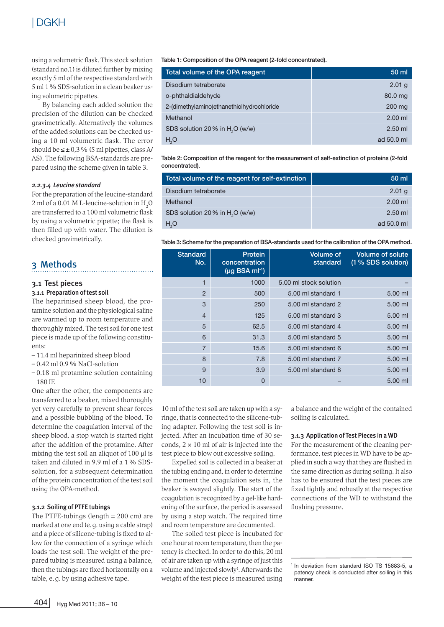using a volumetric flask. This stock solution (standard no.1) is diluted further by mixing exactly 5 ml of the respective standard with 5 ml 1% SDS-solution in a clean beaker using volumetric pipettes.

By balancing each added solution the precision of the dilution can be checked gravimetrically. Alternatively the volumes of the added solutions can be checked using a 10 ml volumetric flask. The error should be  $\leq \pm 0.3$  % (5 ml pipettes, class A/ AS). The following BSA-standards are prepared using the scheme given in table 3.

#### *2.2.3.4 Leucine standard*

For the preparation of the leucine-standard 2 ml of a 0.01 M L-leucine-solution in  $\text{H}_{2}\text{O}$ are transferred to a 100 ml volumetric flask by using a volumetric pipette; the flask is then filled up with water. The dilution is checked gravimetrically.

# 3 Methods

#### 3.1 Test pieces 3.1.1 Preparation of test soil

The heparinised sheep blood, the protamine solution and the physiological saline are warmed up to room temperature and thoroughly mixed. The test soil for one test piece is made up of the following constituents:

- 11.4 ml heparinized sheep blood
- $-0.42$  ml  $0.9\%$  NaCl-solution
- 0.18 ml protamine solution containing 180 IE

One after the other, the components are transferred to a beaker, mixed thoroughly yet very carefully to prevent shear forces and a possible bubbling of the blood. To determine the coagulation interval of the sheep blood, a stop watch is started right after the addition of the protamine. After mixing the test soil an aliquot of 100 µl is taken and diluted in 9.9 ml of a 1% SDSsolution, for a subsequent determination of the protein concentration of the test soil using the OPA-method.

#### 3.1.2 Soiling of PTFE tubings

The PTFE-tubings (length  $= 200$  cm) are marked at one end (e.g. using a cable strap) and a piece of silicone-tubing is fixed to allow for the connection of a syringe which loads the test soil. The weight of the prepared tubing is measured using a balance, then the tubings are fixed horizontally on a table, e.g. by using adhesive tape.

Table 1: Composition of the OPA reagent (2-fold concentrated).

| Total volume of the OPA reagent             | $50 \mathrm{m}$ |
|---------------------------------------------|-----------------|
| Disodium tetraborate                        | $2.01$ g        |
| o-phthaldialdehyde                          | 80.0 mg         |
| 2-(dimethylamino)ethanethiolhydrochloride   | $200$ mg        |
| Methanol                                    | $2.00$ ml       |
| SDS solution 20 % in H <sub>2</sub> O (w/w) | $2.50$ ml       |
| H <sub>2</sub> O                            | ad 50.0 ml      |

Table 2: Composition of the reagent for the measurement of self-extinction of proteins (2-fold concentrated).

| Total volume of the reagent for self-extinction | 50 ml      |  |
|-------------------------------------------------|------------|--|
| Disodium tetraborate                            | $2.01$ g   |  |
| Methanol                                        | $2.00$ ml  |  |
| SDS solution 20% in H <sub>2</sub> O (w/w)      | $2.50$ ml  |  |
| H <sub>2</sub> O                                | ad 50.0 ml |  |

Table 3: Scheme for the preparation of BSA-standards used for the calibration of the OPA method.

| <b>Standard</b><br>No. | Protein<br>concentration<br>$(\mu q$ BSA m $l^{-1}$ ) | <b>Volume of</b><br>standard | <b>Volume of solute</b><br>(1 % SDS solution) |
|------------------------|-------------------------------------------------------|------------------------------|-----------------------------------------------|
| 1                      | 1000                                                  | 5.00 ml stock solution       |                                               |
| $\overline{2}$         | 500                                                   | 5.00 ml standard 1           | 5.00 ml                                       |
| 3                      | 250                                                   | 5.00 ml standard 2           | 5.00 ml                                       |
| $\overline{4}$         | 125                                                   | 5.00 ml standard 3           | 5.00 ml                                       |
| 5                      | 62.5                                                  | 5.00 ml standard 4           | $5.00$ ml                                     |
| 6                      | 31.3                                                  | 5.00 ml standard 5           | 5.00 ml                                       |
| $\overline{7}$         | 15.6                                                  | 5.00 ml standard 6           | $5.00$ ml                                     |
| 8                      | 7.8                                                   | 5.00 ml standard 7           | 5.00 ml                                       |
| 9                      | 3.9                                                   | 5.00 ml standard 8           | 5.00 ml                                       |
| 10                     | 0                                                     |                              | $5.00$ ml                                     |

10 ml of the test soil are taken up with a syringe, that is connected to the silicone-tubing adapter. Following the test soil is injected. After an incubation time of 30 seconds,  $2 \times 10$  ml of air is injected into the test piece to blow out excessive soiling.

Expelled soil is collected in a beaker at the tubing ending and, in order to determine the moment the coagulation sets in, the beaker is swayed slightly. The start of the coagulation is recognized by a gel-like hardening of the surface, the period is assessed by using a stop watch. The required time and room temperature are documented.

The soiled test piece is incubated for one hour at room temperature, then the patency is checked. In order to do this, 20 ml of air are taken up with a syringe of just this volume and injected slowly<sup>1</sup>. Afterwards the weight of the test piece is measured using

a balance and the weight of the contained soiling is calculated.

#### 3.1.3 Application of Test Pieces in a WD

For the measurement of the cleaning performance, test pieces in WD have to be applied in such a way that they are flushed in the same direction as during soiling. It also has to be ensured that the test pieces are fixed tightly and robustly at the respective connections of the WD to withstand the flushing pressure.

<sup>&</sup>lt;sup>1</sup> In deviation from standard ISO TS 15883-5, a patency check is conducted after soiling in this manner.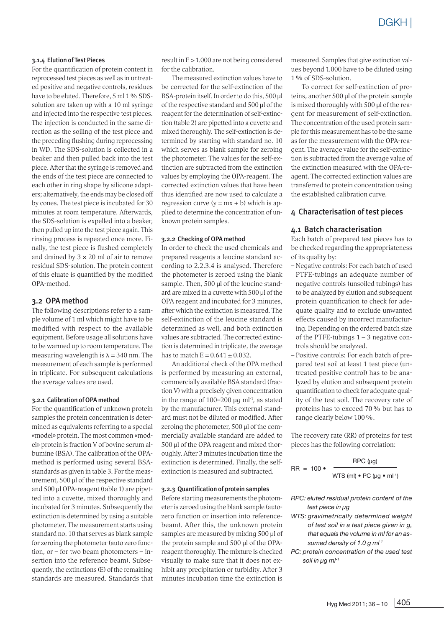#### 3.1.4 Elution of Test Pieces

For the quantification of protein content in reprocessed test pieces as well as in untreated positive and negative controls, residues have to be eluted. Therefore, 5 ml 1 % SDSsolution are taken up with a 10 ml syringe and injected into the respective test pieces. The injection is conducted in the same direction as the soiling of the test piece and the preceding flushing during reprocessing in WD. The SDS-solution is collected in a beaker and then pulled back into the test piece. After that the syringe is removed and the ends of the test piece are connected to each other in ring shape by silicone adapters; alternatively, the ends may be closed off by cones. The test piece is incubated for 30 minutes at room temperature. Afterwards, the SDS-solution is expelled into a beaker, then pulled up into the test piece again. This rinsing process is repeated once more. Finally, the test piece is flushed completely and drained by  $3 \times 20$  ml of air to remove residual SDS-solution. The protein content of this eluate is quantified by the modified OPA-method.

#### 3.2 OPA method

The following descriptions refer to a sample volume of 1 ml which might have to be modified with respect to the available equipment. Before usage all solutions have to be warmed up to room temperature. The measuring wavelength is  $\lambda = 340$  nm. The measurement of each sample is performed in triplicate. For subsequent calculations the average values are used.

#### 3.2.1 Calibration of OPA method

For the quantification of unknown protein samples the protein concentration is determined as equivalents referring to a special «model» protein. The most common «model» protein is fraction V of bovine serum albumine (BSA). The calibration of the OPAmethod is performed using several BSAstandards as given in table 3. For the measurement, 500 µl of the respective standard and 500 µl OPA-reagent (table 1) are pipetted into a cuvette, mixed thoroughly and incubated for 3 minutes. Subsequently the extinction is determined by using a suitable photometer. The measurement starts using standard no. 10 that serves as blank sample for zeroing the photometer (auto zero function, or – for two beam photometers – insertion into the reference beam). Subsequently, the extinctions (E) of the remaining standards are measured. Standards that result in E > 1.000 are not being considered for the calibration.

The measured extinction values have to be corrected for the self-extinction of the BSA-protein itself. In order to do this, 500 µl of the respective standard and 500 µl of the reagent for the determination of self-extinction (table 2) are pipetted into a cuvette and mixed thoroughly. The self-extinction is determined by starting with standard no. 10 which serves as blank sample for zeroing the photometer. The values for the self-extinction are subtracted from the extinction values by employing the OPA-reagent. The corrected extinction values that have been thus identified are now used to calculate a regression curve  $(y = mx + b)$  which is applied to determine the concentration of unknown protein samples.

#### 3.2.2 Checking of OPA method

In order to check the used chemicals and prepared reagents a leucine standard according to 2.2.3.4 is analysed. Therefore the photometer is zeroed using the blank sample. Then, 500 µl of the leucine standard are mixed in a cuvette with 500 µl of the OPA reagent and incubated for 3 minutes, after which the extinction is measured. The self-extinction of the leucine standard is determined as well, and both extinction values are subtracted. The corrected extinction is determined in triplicate, the average has to match  $E = 0.641 \pm 0.032$ .

An additional check of the OPA method is performed by measuring an external, commercially available BSA standard (fraction V) with a precisely given concentration in the range of  $100-200 \mu g$  ml<sup>-1</sup>, as stated by the manufacturer. This external standard must not be diluted or modified. After zeroing the photometer, 500 µl of the commercially available standard are added to 500 µl of the OPA reagent and mixed thoroughly. After 3 minutes incubation time the extinction is determined. Finally, the selfextinction is measured and subtracted.

#### 3.2.3 Quantification of protein samples

Before starting measurements the photometer is zeroed using the blank sample (autozero function or insertion into referencebeam). After this, the unknown protein samples are measured by mixing 500 µl of the protein sample and 500 µl of the OPAreagent thoroughly. The mixture is checked visually to make sure that it does not exhibit any precipitation or turbidity. After 3 minutes incubation time the extinction is

measured. Samples that give extinction values beyond 1.000 have to be diluted using 1% of SDS-solution.

To correct for self-extinction of proteins, another 500 µl of the protein sample is mixed thoroughly with 500 µl of the reagent for measurement of self-extinction. The concentration of the used protein sample for this measurement has to be the same as for the measurement with the OPA-reagent. The average value for the self-extinction is subtracted from the average value of the extinction measured with the OPA-reagent. The corrected extinction values are transferred to protein concentration using the established calibration curve.

#### 4 Characterisation of test pieces

#### 4.1 Batch characterisation

Each batch of prepared test pieces has to be checked regarding the appropriateness of its quality by:

- Negative controls: For each batch of used PTFE-tubings an adequate number of negative controls (unsoiled tubings) has to be analyzed by elution and subsequent protein quantification to check for adequate quality and to exclude unwanted effects caused by incorrect manufacturing. Depending on the ordered batch size of the PTFE-tubings  $1 - 3$  negative controls should be analyzed.
- Positive controls: For each batch of prepared test soil at least 1 test piece (untreated positive control) has to be analyzed by elution and subsequent protein quantification to check for adequate quality of the test soil. The recovery rate of proteins has to exceed 70% but has to range clearly below 100%.

The recovery rate (RR) of proteins for test pieces has the following correlation:

$$
RR = 100 \bullet \quad \frac{RPC (\mu g)}{WTS (ml) \bullet PC (\mu g \bullet ml^{-1})}
$$

- *RPC: eluted residual protein content of the test piece in µg*
- *WTS: gravimetrically determined weight of test soil in a test piece given in g, that equals the volume in ml for an assumed density of 1.0 g ml-1*
- *PC: protein concentration of the used test soil in µg ml-1*